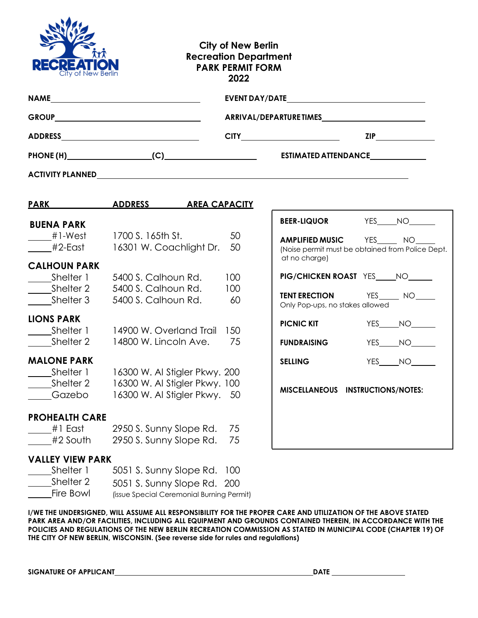| R EZ<br>City of New Berlin                  |                                                                                             | <b>City of New Berlin</b><br><b>Recreation Department</b><br><b>PARK PERMIT FORM</b><br>2022 |                                 |                                                                                     |  |
|---------------------------------------------|---------------------------------------------------------------------------------------------|----------------------------------------------------------------------------------------------|---------------------------------|-------------------------------------------------------------------------------------|--|
|                                             | NAME                                                                                        |                                                                                              |                                 |                                                                                     |  |
|                                             |                                                                                             |                                                                                              |                                 |                                                                                     |  |
|                                             |                                                                                             |                                                                                              |                                 | $\mathsf{ZIP}\_\_\_\_\_\_\_\_\$                                                     |  |
|                                             |                                                                                             |                                                                                              |                                 |                                                                                     |  |
|                                             |                                                                                             |                                                                                              |                                 |                                                                                     |  |
|                                             | PARK ADDRESS AREA CAPACITY                                                                  |                                                                                              |                                 |                                                                                     |  |
| <b>BUENA PARK</b>                           |                                                                                             |                                                                                              |                                 | BEER-LIQUOR YES____NO_____                                                          |  |
|                                             | #1-West 1700 S. 165th St.<br>50<br>#2-East 16301 W. Coachlight Dr.                          | 50                                                                                           | at no charge)                   | AMPLIFIED MUSIC YES_____ NO____<br>(Noise permit must be obtained from Police Dept. |  |
| <b>CALHOUN PARK</b>                         |                                                                                             |                                                                                              |                                 | PIG/CHICKEN ROAST YES____NO_____                                                    |  |
| Shelter 1                                   | 5400 S. Calhoun Rd.<br>________Shelter 2 5400 S. Calhoun Rd.                                | 100<br>100                                                                                   |                                 |                                                                                     |  |
|                                             | Shelter 3 5400 S. Calhoun Rd.                                                               | 60                                                                                           | Only Pop-ups, no stakes allowed | TENT ERECTION YES NO                                                                |  |
| <b>LIONS PARK</b>                           |                                                                                             |                                                                                              |                                 | PICNIC KIT YES NO NO                                                                |  |
| Shelter 2                                   | Shelter 1 14900 W. Overland Trail 150<br>14800 W. Lincoln Ave.                              | 75                                                                                           | <b>FUNDRAISING</b>              | YES NO                                                                              |  |
| <b>MALONE PARK</b>                          |                                                                                             |                                                                                              | <b>SELLING</b>                  | YES<br><b>NO</b>                                                                    |  |
| Shelter 1<br>Shelter <sub>2</sub><br>Gazebo | 16300 W. Al Stigler Pkwy. 200<br>16300 W. Al Stigler Pkwy. 100<br>16300 W. Al Stigler Pkwy. | 50                                                                                           | <b>MISCELLANEOUS</b>            | <b>INSTRUCTIONS/NOTES:</b>                                                          |  |
| <b>PROHEALTH CARE</b>                       |                                                                                             |                                                                                              |                                 |                                                                                     |  |
| #1 East<br>#2 South                         | 2950 S. Sunny Slope Rd.<br>2950 S. Sunny Slope Rd.                                          | 75<br>75                                                                                     |                                 |                                                                                     |  |
| <b>VALLEY VIEW PARK</b>                     |                                                                                             |                                                                                              |                                 |                                                                                     |  |
| Shelter 1<br>Shelter <sub>2</sub>           | 5051 S. Sunny Slope Rd. 100<br>5051 S. Sunny Slope Rd.                                      | <b>200</b>                                                                                   |                                 |                                                                                     |  |
| Fire Bowl                                   | (issue Special Ceremonial Burning Permit)                                                   |                                                                                              |                                 |                                                                                     |  |

**I/WE THE UNDERSIGNED, WILL ASSUME ALL RESPONSIBILITY FOR THE PROPER CARE AND UTILIZATION OF THE ABOVE STATED PARK AREA AND/OR FACILITIES, INCLUDING ALL EQUIPMENT AND GROUNDS CONTAINED THEREIN, IN ACCORDANCE WITH THE POLICIES AND REGULATIONS OF THE NEW BERLIN RECREATION COMMISSION AS STATED IN MUNICIPAL CODE (CHAPTER 19) OF THE CITY OF NEW BERLIN, WISCONSIN. (See reverse side for rules and regulations)**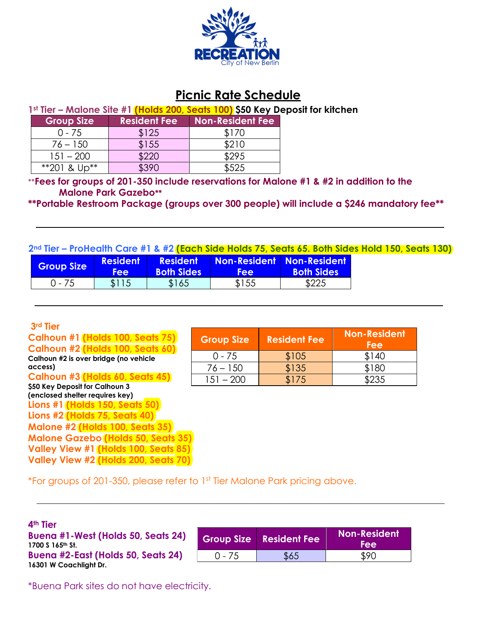

# **Picnic Rate Schedule**

## **1st Tier – Malone Site #1 (Holds 200, Seats 100) \$50 Key Deposit for kitchen**

| Group Size'      | <b>Resident Fee</b> | <b>Non-Resident Fee</b> |
|------------------|---------------------|-------------------------|
| $0 - 75$         | \$125               | \$170                   |
| $76 - 150$       | \$155               | \$210                   |
| $151 - 200$      | \$220               | \$295                   |
| $*201$ & Up $**$ |                     | \$525                   |

\*\***Fees for groups of 201-350 include reservations for Malone #1 & #2 in addition to the Malone Park Gazebo\*\*** 

**\*\*Portable Restroom Package (groups over 300 people) will include a \$246 mandatory fee\*\***

**2nd Tier – ProHealth Care #1 & #2 (Each Side Holds 75, Seats 65. Both Sides Hold 150, Seats 130)**

| <b>Group Size</b> | <b>Resident</b><br>Fee: | <b>Resident</b><br><b>Both Sides</b> | Non-Resident Non-Resident<br><b>ree</b> | <b>Both Sides</b> |
|-------------------|-------------------------|--------------------------------------|-----------------------------------------|-------------------|
| $0 - 75$          | \$115                   | \$165                                | \$155                                   | \$225             |

## **3rd Tier**

**Calhoun #1 (Holds 100, Seats 75) Calhoun #2 (Holds 100, Seats 60) Calhoun #2 is over bridge (no vehicle access) Calhoun #3 (Holds 60, Seats 45) \$50 Key Deposit for Calhoun 3 (enclosed shelter requires key) Lions #1 (Holds 150, Seats 50) Lions #2 (Holds 75, Seats 40) Malone #2 (Holds 100, Seats 35) Malone Gazebo (Holds 50, Seats 35) Valley View #1 (Holds 100, Seats 85) Valley View #2 (Holds 200, Seats 70)**

| <b>Group Size</b> | <b>Resident Fee</b> | Non-Resident<br>Fee |
|-------------------|---------------------|---------------------|
| $0 - 75$          | \$105               | \$140               |
| $76 - 150$        | \$135               | \$180               |
| $151 - 200$       | \$175               |                     |

\*For groups of 201-350, please refer to 1st Tier Malone Park pricing above.

**4th Tier Buena #1-West (Holds 50, Seats 24) 1700 S 165th St. Buena #2-East (Holds 50, Seats 24) 16301 W Coachlight Dr.**

|          | <b>Group Size Resident Fee</b> | <b>Non-Resident</b><br>Fee |  |
|----------|--------------------------------|----------------------------|--|
| $0 - 75$ | \$65                           | ዌዓበ                        |  |

\*Buena Park sites do not have electricity.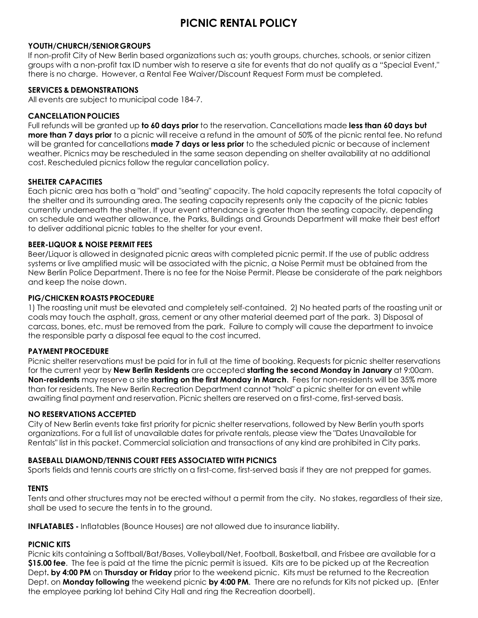# **PICNIC RENTAL POLICY**

#### **YOUTH/CHURCH/SENIOR GROUPS**

If non-profit City of New Berlin based organizations such as; youth groups, churches, schools, or senior citizen groups with a non-profit tax ID number wish to reserve a site for events that do not qualify as a "Special Event," there is no charge. However, a Rental Fee Waiver/Discount Request Form must be completed.

#### **SERVICES & DEMONSTRATIONS**

All events are subject to municipal code 184-7.

#### **CANCELLATION POLICIES**

Full refunds will be granted up **to 60 days prior** to the reservation. Cancellations made **less than 60 days but more than 7 days prior** to a picnic will receive a refund in the amount of 50% of the picnic rental fee. No refund will be granted for cancellations **made 7 days or less prior** to the scheduled picnic or because of inclement weather. Picnics may be rescheduled in the same season depending on shelter availability at no additional cost. Rescheduled picnics follow the regular cancellation policy.

#### **SHELTER CAPACITIES**

Each picnic area has both a "hold" and "seating" capacity. The hold capacity represents the total capacity of the shelter and its surrounding area. The seating capacity represents only the capacity of the picnic tables currently underneath the shelter. If your event attendance is greater than the seating capacity, depending on schedule and weather allowance, the Parks, Buildings and Grounds Department will make their best effort to deliver additional picnic tables to the shelter for your event.

#### **BEER-LIQUOR & NOISE PERMIT FEES**

Beer/Liquor is allowed in designated picnic areas with completed picnic permit. If the use of public address systems or live amplified music will be associated with the picnic, a Noise Permit must be obtained from the New Berlin Police Department. There is no fee for the Noise Permit. Please be considerate of the park neighbors and keep the noise down.

#### **PIG/CHICKEN ROASTS PROCEDURE**

1) The roasting unit must be elevated and completely self-contained. 2) No heated parts of the roasting unit or coals may touch the asphalt, grass, cement or any other material deemed part of the park. 3) Disposal of carcass, bones, etc. must be removed from the park. Failure to comply will cause the department to invoice the responsible party a disposal fee equal to the cost incurred.

#### **PAYMENT PROCEDURE**

Picnic shelter reservations must be paid for in full at the time of booking. Requests for picnic shelter reservations for the current year by **New Berlin Residents** are accepted **starting the second Monday in January** at 9:00am. **Non-residents** may reserve a site **starting on the first Monday in March**. Fees for non-residents will be 35% more than for residents. The New Berlin Recreation Department cannot "hold" a picnic shelter for an event while awaiting final payment and reservation. Picnic shelters are reserved on a first-come, first-served basis.

#### **NO RESERVATIONS ACCEPTED**

City of New Berlin events take first priority for picnic shelter reservations, followed by New Berlin youth sports organizations. For a full list of unavailable dates for private rentals, please view the "Dates Unavailable for Rentals" list in this packet. Commercial soliciation and transactions of any kind are prohibited in City parks.

#### **BASEBALL DIAMOND/TENNIS COURT FEES ASSOCIATED WITH PICNICS**

Sports fields and tennis courts are strictly on a first-come, first-served basis if they are not prepped for games.

#### **TENTS**

Tents and other structures may not be erected without a permit from the city. No stakes, regardless of their size, shall be used to secure the tents in to the ground.

**INFLATABLES -** Inflatables (Bounce Houses) are not allowed due to insurance liability.

#### **PICNIC KITS**

Picnic kits containing a Softball/Bat/Bases, Volleyball/Net, Football, Basketball, and Frisbee are available for a **\$15.00 fee**. The fee is paid at the time the picnic permit is issued. Kits are to be picked up at the Recreation Dept**. by 4:00 PM** on **Thursday or Friday** prior to the weekend picnic. Kits must be returned to the Recreation Dept. on **Monday following** the weekend picnic **by 4:00 PM**. There are no refunds for Kits not picked up. (Enter the employee parking lot behind City Hall and ring the Recreation doorbell).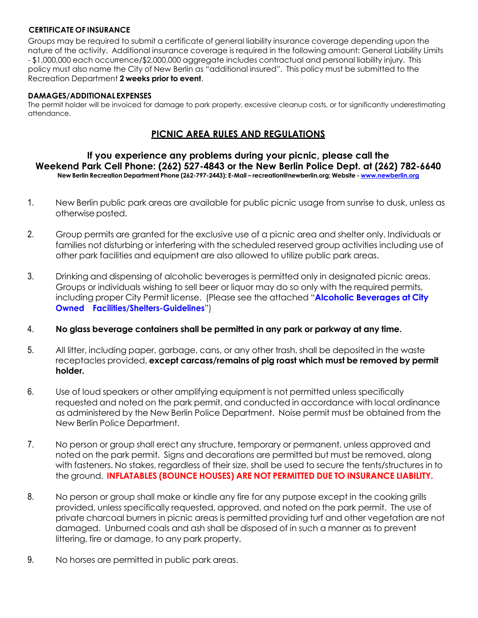#### **CERTIFICATE OF INSURANCE**

Groups may be required to submit a certificate of general liability insurance coverage depending upon the nature of the activity. Additional insurance coverage is required in the following amount: General Liability Limits - \$1,000,000 each occurrence/\$2,000,000 aggregate includes contractual and personal liability injury. This policy must also name the City of New Berlin as "additional insured". This policy must be submitted to the Recreation Department **2 weeks prior to event**.

#### **DAMAGES/ADDITIONAL EXPENSES**

The permit holder will be invoiced for damage to park property, excessive cleanup costs, or for significantly underestimating attendance.

### **PICNIC AREA RULES AND REGULATIONS**

#### **If you experience any problems during your picnic, please call the Weekend Park Cell Phone: (262) 527-4843 or the New Berlin Police Dept. at (262) 782-6640 New Berlin Recreation Department Phone (262-797-2443); E-Mail – recreation@newberlin.org; Website - www.newberlin.org**

- 1. New Berlin public park areas are available for public picnic usage from sunrise to dusk, unless as otherwise posted.
- 2. Group permits are granted for the exclusive use of a picnic area and shelter only. Individuals or families not disturbing or interfering with the scheduled reserved group activities including use of other park facilities and equipment are also allowed to utilize public park areas.
- 3. Drinking and dispensing of alcoholic beverages is permitted only in designated picnic areas. Groups or individuals wishing to sell beer or liquor may do so only with the required permits, including proper City Permit license. (Please see the attached "**Alcoholic Beverages at City Owned Facilities/Shelters-Guidelines**")
- 4. **No glass beverage containers shall be permitted in any park or parkway at any time.**
- 5. All litter, including paper, garbage, cans, or any other trash, shall be deposited in the waste receptacles provided, **except carcass/remains of pig roast which must be removed by permit holder.**
- 6. Use of loud speakers or other amplifying equipment is not permitted unless specifically requested and noted on the park permit, and conducted in accordance with local ordinance as administered by the New Berlin Police Department. Noise permit must be obtained from the New Berlin Police Department.
- 7. No person or group shall erect any structure, temporary or permanent, unless approved and noted on the park permit. Signs and decorations are permitted but must be removed, along with fasteners. No stakes, regardless of their size, shall be used to secure the tents/structures in to the ground. **INFLATABLES (BOUNCE HOUSES) ARE NOT PERMITTED DUE TO INSURANCE LIABILITY.**
- 8. No person or group shall make or kindle any fire for any purpose except in the cooking grills provided, unless specifically requested, approved, and noted on the park permit. The use of private charcoal burners in picnic areas is permitted providing turf and other vegetation are not damaged. Unburned coals and ash shall be disposed of in such a manner as to prevent littering, fire or damage, to any park property.
- 9. No horses are permitted in public park areas.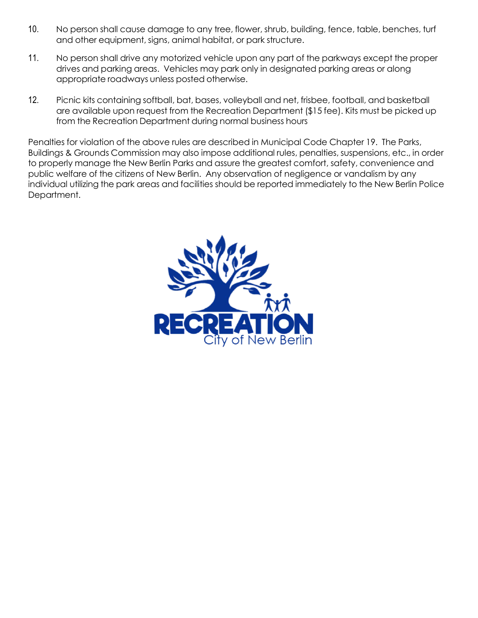- 10. No person shall cause damage to any tree, flower, shrub, building, fence, table, benches, turf and other equipment, signs, animal habitat, or park structure.
- 11. No person shall drive any motorized vehicle upon any part of the parkways except the proper drives and parking areas. Vehicles may park only in designated parking areas or along appropriate roadways unless posted otherwise.
- 12. Picnic kits containing softball, bat, bases, volleyball and net, frisbee, footb[all, and basketba](http://www.newberlin.org/)ll are available upon request from the Recreation Department (\$15 fee). Kits must be picked up from the Recreation Department during normal business hours

Penalties for violation of the above rules are described in Municipal Code Chapter 19. The Parks, Buildings & Grounds Commission may also impose additional rules, penalties, suspensions, etc., in order to properly manage the New Berlin Parks and assure the greatest comfort, safety, convenience and public welfare of the citizens of New Berlin. Any observation of negligence or vandalism by any individual utilizing the park areas and facilities should be reported immediately to the New Berlin Police Department.

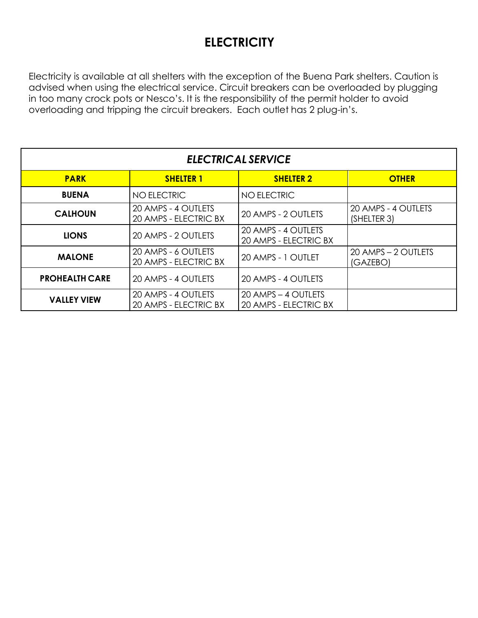# **ELECTRICITY**

Electricity is available at all shelters with the exception of the Buena Park shelters. Caution is advised when using the electrical service. Circuit breakers can be overloaded by plugging in too many crock pots or Nesco's. It is the responsibility of the permit holder to avoid overloading and tripping the circuit breakers. Each outlet has 2 plug-in's.

| <b>ELECTRICAL SERVICE</b> |                                              |                                                  |                                    |
|---------------------------|----------------------------------------------|--------------------------------------------------|------------------------------------|
| <b>PARK</b>               | <b>SHELTER 1</b>                             | <b>SHELTER 2</b>                                 | <b>OTHER</b>                       |
| <b>BUENA</b>              | NO ELECTRIC                                  | NO ELECTRIC                                      |                                    |
| <b>CALHOUN</b>            | 20 AMPS - 4 OUTLETS<br>20 AMPS - ELECTRIC BX | 20 AMPS - 2 OUTLETS                              | 20 AMPS - 4 OUTLETS<br>(SHELTER 3) |
| <b>LIONS</b>              | 20 AMPS - 2 OUTLETS                          | 20 AMPS - 4 OUTLETS<br>20 AMPS - ELECTRIC BX     |                                    |
| <b>MALONE</b>             | 20 AMPS - 6 OUTLETS<br>20 AMPS - ELECTRIC BX | 20 AMPS - 1 OUTLET                               | 20 AMPS - 2 OUTLETS<br>(GAZEBO)    |
| <b>PROHEALTH CARE</b>     | 20 AMPS - 4 OUTLETS                          | 20 AMPS - 4 OUTLETS                              |                                    |
| <b>VALLEY VIEW</b>        | 20 AMPS - 4 OUTLETS<br>20 AMPS - ELECTRIC BX | $20$ AMPS $-$ 4 OUTLETS<br>20 AMPS - ELECTRIC BX |                                    |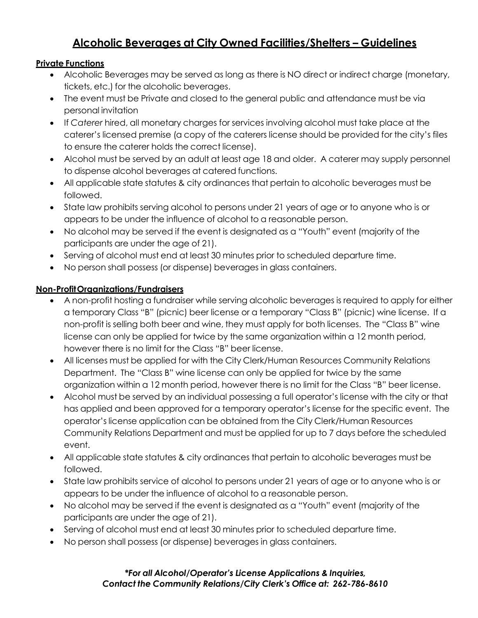# **Alcoholic Beverages at City Owned Facilities/Shelters – Guidelines**

## **Private Functions**

- Alcoholic Beverages may be served as long as there is NO direct or indirect charge (monetary, tickets, etc.) for the alcoholic beverages.
- The event must be Private and closed to the general public and attendance must be via personal invitation
- If *Caterer* hired, all monetary charges for services involving alcohol must take place at the caterer's licensed premise (a copy of the caterers license should be provided for the city's files to ensure the caterer holds the correct license).
- Alcohol must be served by an adult at least age 18 and older. A caterer may supply personnel to dispense alcohol beverages at catered functions.
- All applicable state statutes & city ordinances that pertain to alcoholic beverages must be followed.
- State law prohibits serving alcohol to persons under 21 years of age or to anyone who is or appears to be under the influence of alcohol to a reasonable person.
- No alcohol may be served if the event is designated as a "Youth" event (majority of the participants are under the age of 21).
- Serving of alcohol must end at least 30 minutes prior to scheduled departure time.
- No person shall possess (or dispense) beverages in glass containers.

## **Non-Profit Organizations/Fundraisers**

- A non-profit hosting a fundraiser while serving alcoholic beverages is required to apply for either a temporary Class "B" (picnic) beer license or a temporary "Class B" (picnic) wine license. If a non-profit is selling both beer and wine, they must apply for both licenses. The "Class B" wine license can only be applied for twice by the same organization within a 12 month period, however there is no limit for the Class "B" beer license.
- All licenses must be applied for with the City Clerk/Human Resources Community Relations Department. The "Class B" wine license can only be applied for twice by the same organization within a 12 month period, however there is no limit for the Class "B" beer license.
- Alcohol must be served by an individual possessing a full operator's license with the city or that has applied and been approved for a temporary operator's license for the specific event. The operator's license application can be obtained from the City Clerk/Human Resources Community Relations Department and must be applied for up to 7 days before the scheduled event.
- All applicable state statutes & city ordinances that pertain to alcoholic beverages must be followed.
- State law prohibits service of alcohol to persons under 21 years of age or to anyone who is or appears to be under the influence of alcohol to a reasonable person.
- No alcohol may be served if the event is designated as a "Youth" event (majority of the participants are under the age of 21).
- Serving of alcohol must end at least 30 minutes prior to scheduled departure time.
- No person shall possess (or dispense) beverages in glass containers.